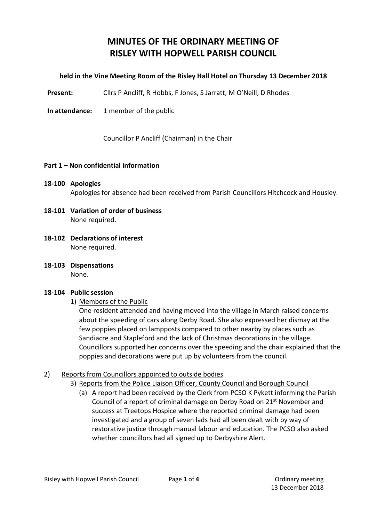## **MINUTES OF THE ORDINARY MEETING OF RISLEY WITH HOPWELL PARISH COUNCIL**

### **held in the Vine Meeting Room of the Risley Hall Hotel on Thursday 13 December 2018**

Present: Cllrs P Ancliff, R Hobbs, F Jones, S Jarratt, M O'Neill, D Rhodes

**In attendance:** 1 member of the public

Councillor P Ancliff (Chairman) in the Chair

### **Part 1 – Non confidential information**

## **18-100 Apologies** Apologies for absence had been received from Parish Councillors Hitchcock and Housley.

- **18-101 Variation of order of business** None required.
- **18-102 Declarations of interest** None required.
- **18-103 Dispensations** None.

#### **18-104 Public session**

1) Members of the Public

One resident attended and having moved into the village in March raised concerns about the speeding of cars along Derby Road. She also expressed her dismay at the few poppies placed on lampposts compared to other nearby by places such as Sandiacre and Stapleford and the lack of Christmas decorations in the village. Councillors supported her concerns over the speeding and the chair explained that the poppies and decorations were put up by volunteers from the council.

### 2) Reports from Councillors appointed to outside bodies

- 3) Reports from the Police Liaison Officer, County Council and Borough Council
	- (a) A report had been received by the Clerk from PCSO K Pykett informing the Parish Council of a report of criminal damage on Derby Road on 21<sup>st</sup> November and success at Treetops Hospice where the reported criminal damage had been investigated and a group of seven lads had all been dealt with by way of restorative justice through manual labour and education. The PCSO also asked whether councillors had all signed up to Derbyshire Alert.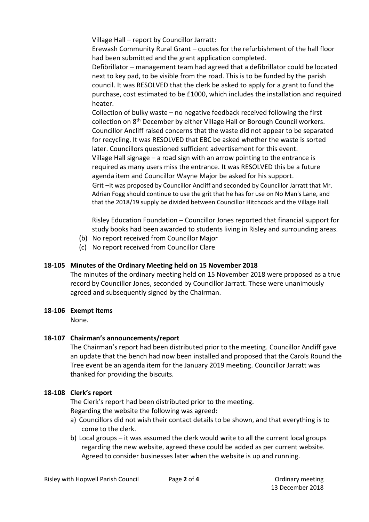Village Hall – report by Councillor Jarratt:

Erewash Community Rural Grant – quotes for the refurbishment of the hall floor had been submitted and the grant application completed.

Defibrillator – management team had agreed that a defibrillator could be located next to key pad, to be visible from the road. This is to be funded by the parish council. It was RESOLVED that the clerk be asked to apply for a grant to fund the purchase, cost estimated to be £1000, which includes the installation and required heater.

Collection of bulky waste – no negative feedback received following the first collection on 8<sup>th</sup> December by either Village Hall or Borough Council workers. Councillor Ancliff raised concerns that the waste did not appear to be separated for recycling. It was RESOLVED that EBC be asked whether the waste is sorted later. Councillors questioned sufficient advertisement for this event. Village Hall signage – a road sign with an arrow pointing to the entrance is required as many users miss the entrance. It was RESOLVED this be a future agenda item and Councillor Wayne Major be asked for his support. Grit –It was proposed by Councillor Ancliff and seconded by Councillor Jarratt that Mr.

Adrian Fogg should continue to use the grit that he has for use on No Man's Lane, and that the 2018/19 supply be divided between Councillor Hitchcock and the Village Hall.

Risley Education Foundation – Councillor Jones reported that financial support for study books had been awarded to students living in Risley and surrounding areas.

- (b) No report received from Councillor Major
- (c) No report received from Councillor Clare

## **18-105 Minutes of the Ordinary Meeting held on 15 November 2018**

The minutes of the ordinary meeting held on 15 November 2018 were proposed as a true record by Councillor Jones, seconded by Councillor Jarratt. These were unanimously agreed and subsequently signed by the Chairman.

### **18-106 Exempt items**

None.

## **18-107 Chairman's announcements/report**

The Chairman's report had been distributed prior to the meeting. Councillor Ancliff gave an update that the bench had now been installed and proposed that the Carols Round the Tree event be an agenda item for the January 2019 meeting. Councillor Jarratt was thanked for providing the biscuits.

## **18-108 Clerk's report**

The Clerk's report had been distributed prior to the meeting. Regarding the website the following was agreed:

- a) Councillors did not wish their contact details to be shown, and that everything is to come to the clerk.
- b) Local groups it was assumed the clerk would write to all the current local groups regarding the new website, agreed these could be added as per current website. Agreed to consider businesses later when the website is up and running.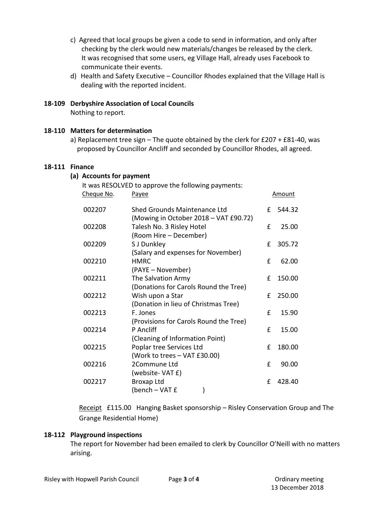- c) Agreed that local groups be given a code to send in information, and only after checking by the clerk would new materials/changes be released by the clerk. It was recognised that some users, eg Village Hall, already uses Facebook to communicate their events.
- d) Health and Safety Executive Councillor Rhodes explained that the Village Hall is dealing with the reported incident.

# **18-109 Derbyshire Association of Local Councils**

Nothing to report.

## **18-110 Matters for determination**

a) Replacement tree sign – The quote obtained by the clerk for £207 + £81-40, was proposed by Councillor Ancliff and seconded by Councillor Rhodes, all agreed.

## **18-111 Finance**

## **(a) Accounts for payment**

| Cheque No. | It was RESOLVED to approve the following payments:<br>Payee                  |   | Amount |
|------------|------------------------------------------------------------------------------|---|--------|
| 002207     | <b>Shed Grounds Maintenance Ltd</b><br>(Mowing in October 2018 - VAT £90.72) | £ | 544.32 |
| 002208     | Talesh No. 3 Risley Hotel<br>(Room Hire – December)                          | £ | 25.00  |
| 002209     | S J Dunkley<br>(Salary and expenses for November)                            | f | 305.72 |
| 002210     | <b>HMRC</b><br>(PAYE – November)                                             | £ | 62.00  |
| 002211     | The Salvation Army<br>(Donations for Carols Round the Tree)                  | £ | 150.00 |
| 002212     | Wish upon a Star<br>(Donation in lieu of Christmas Tree)                     | f | 250.00 |
| 002213     | F. Jones<br>(Provisions for Carols Round the Tree)                           | £ | 15.90  |
| 002214     | P Ancliff<br>(Cleaning of Information Point)                                 | £ | 15.00  |
| 002215     | Poplar tree Services Ltd<br>(Work to trees - VAT £30.00)                     | £ | 180.00 |
| 002216     | 2Commune Ltd<br>(website-VAT £)                                              | £ | 90.00  |
| 002217     | Broxap Ltd<br>(bench - VAT £                                                 | £ | 428.40 |

Receipt £115.00 Hanging Basket sponsorship – Risley Conservation Group and The Grange Residential Home)

### **18-112 Playground inspections**

The report for November had been emailed to clerk by Councillor O'Neill with no matters arising.